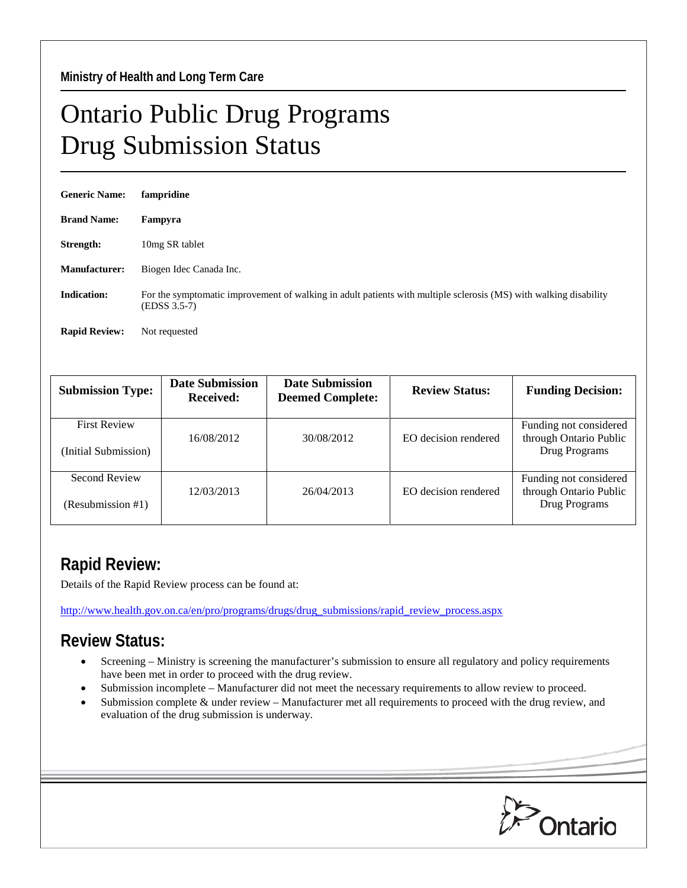## Ontario Public Drug Programs Drug Submission Status

| <b>Generic Name:</b> | fampridine                                                                                                                          |
|----------------------|-------------------------------------------------------------------------------------------------------------------------------------|
| <b>Brand Name:</b>   | Fampyra                                                                                                                             |
| Strength:            | 10 <sub>mg</sub> SR tablet                                                                                                          |
| <b>Manufacturer:</b> | Biogen Idec Canada Inc.                                                                                                             |
| <b>Indication:</b>   | For the symptomatic improvement of walking in adult patients with multiple sclerosis (MS) with walking disability<br>$(EDSS 3.5-7)$ |
| <b>Rapid Review:</b> | Not requested                                                                                                                       |

| <b>Submission Type:</b>                     | <b>Date Submission</b><br><b>Received:</b> | <b>Date Submission</b><br><b>Deemed Complete:</b> | <b>Review Status:</b> | <b>Funding Decision:</b>                                          |
|---------------------------------------------|--------------------------------------------|---------------------------------------------------|-----------------------|-------------------------------------------------------------------|
| <b>First Review</b><br>(Initial Submission) | 16/08/2012                                 | 30/08/2012                                        | EO decision rendered  | Funding not considered<br>through Ontario Public<br>Drug Programs |
| Second Review<br>(Resubmission #1)          | 12/03/2013                                 | 26/04/2013                                        | EO decision rendered  | Funding not considered<br>through Ontario Public<br>Drug Programs |

## **Rapid Review:**

Details of the Rapid Review process can be found at:

[http://www.health.gov.on.ca/en/pro/programs/drugs/drug\\_submissions/rapid\\_review\\_process.aspx](http://www.health.gov.on.ca/en/pro/programs/drugs/drug_submissions/rapid_review_process.aspx)

## **Review Status:**

- Screening Ministry is screening the manufacturer's submission to ensure all regulatory and policy requirements have been met in order to proceed with the drug review.
- Submission incomplete Manufacturer did not meet the necessary requirements to allow review to proceed.
- Submission complete & under review Manufacturer met all requirements to proceed with the drug review, and evaluation of the drug submission is underway.